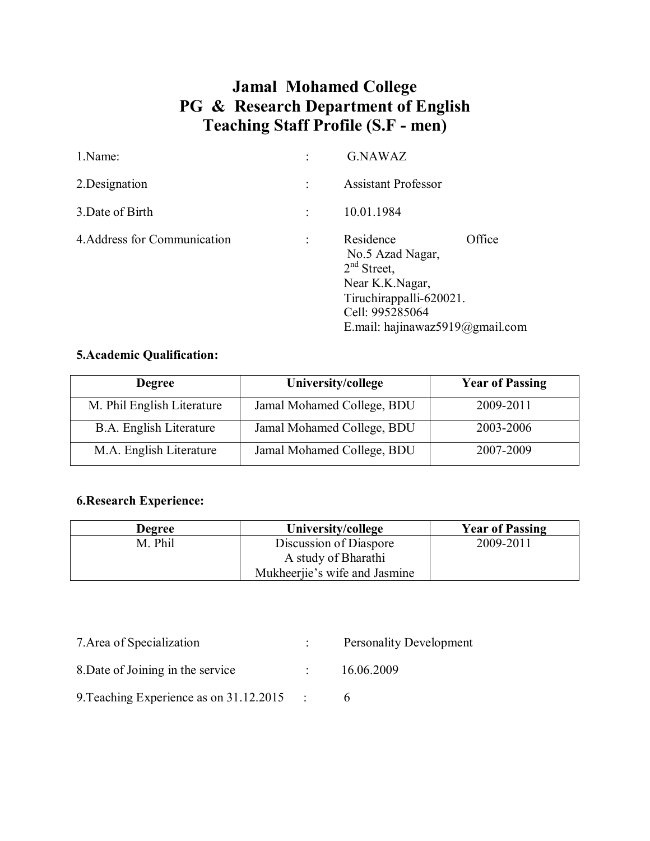# **Jamal Mohamed College PG & Research Department of English Teaching Staff Profile (S.F - men)**

| 1.Name:                      | <b>G.NAWAZ</b>                                                                                                                                               |  |
|------------------------------|--------------------------------------------------------------------------------------------------------------------------------------------------------------|--|
| 2. Designation               | <b>Assistant Professor</b>                                                                                                                                   |  |
| 3. Date of Birth             | 10.01.1984                                                                                                                                                   |  |
| 4. Address for Communication | Office<br>Residence<br>No.5 Azad Nagar,<br>$2nd$ Street,<br>Near K.K.Nagar,<br>Tiruchirappalli-620021.<br>Cell: 995285064<br>E.mail: hajinawaz5919@gmail.com |  |

### **5.Academic Qualification:**

| <b>Degree</b>                  | University/college         | <b>Year of Passing</b> |
|--------------------------------|----------------------------|------------------------|
| M. Phil English Literature     | Jamal Mohamed College, BDU | 2009-2011              |
| <b>B.A.</b> English Literature | Jamal Mohamed College, BDU | 2003-2006              |
| M.A. English Literature        | Jamal Mohamed College, BDU | 2007-2009              |

## **6.Research Experience:**

| <b>Degree</b> | University/college            | <b>Year of Passing</b> |
|---------------|-------------------------------|------------------------|
| M. Phil       | Discussion of Diaspore        | 2009-2011              |
|               | A study of Bharathi           |                        |
|               | Mukheerjie's wife and Jasmine |                        |

| 7. Area of Specialization               | <b>Personality Development</b> |
|-----------------------------------------|--------------------------------|
| 8. Date of Joining in the service       | 16.06.2009                     |
| 9. Teaching Experience as on 31.12.2015 |                                |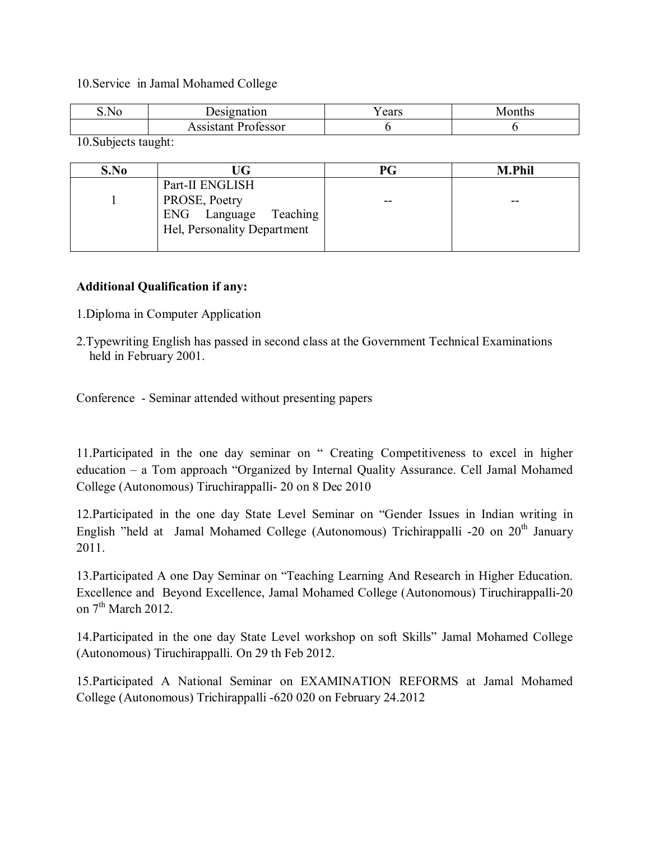#### 10.Service in Jamal Mohamed College

| S.No                               | esignation              | ' ears | onths<br>$\sqrt{ }$ |
|------------------------------------|-------------------------|--------|---------------------|
|                                    | Professor<br>.ssistant- |        |                     |
| $\sim$ $\sim$ $\sim$ $\sim$ $\sim$ |                         |        |                     |

10.Subjects taught:

| S.No | UG                                                   | PG | <b>M.Phil</b> |
|------|------------------------------------------------------|----|---------------|
|      | Part-II ENGLISH<br>PROSE, Poetry                     | -- | --            |
|      | ENG Language Teaching<br>Hel, Personality Department |    |               |

#### **Additional Qualification if any:**

- 1.Diploma in Computer Application
- 2.Typewriting English has passed in second class at the Government Technical Examinations held in February 2001.

Conference - Seminar attended without presenting papers

11.Participated in the one day seminar on " Creating Competitiveness to excel in higher education – a Tom approach "Organized by Internal Quality Assurance. Cell Jamal Mohamed College (Autonomous) Tiruchirappalli- 20 on 8 Dec 2010

12.Participated in the one day State Level Seminar on "Gender Issues in Indian writing in English "held at Jamal Mohamed College (Autonomous) Trichirappalli -20 on  $20<sup>th</sup>$  January 2011.

13.Participated A one Day Seminar on "Teaching Learning And Research in Higher Education. Excellence and Beyond Excellence, Jamal Mohamed College (Autonomous) Tiruchirappalli-20 on  $7<sup>th</sup>$  March 2012.

14.Participated in the one day State Level workshop on soft Skills" Jamal Mohamed College (Autonomous) Tiruchirappalli. On 29 th Feb 2012.

15.Participated A National Seminar on EXAMINATION REFORMS at Jamal Mohamed College (Autonomous) Trichirappalli -620 020 on February 24.2012